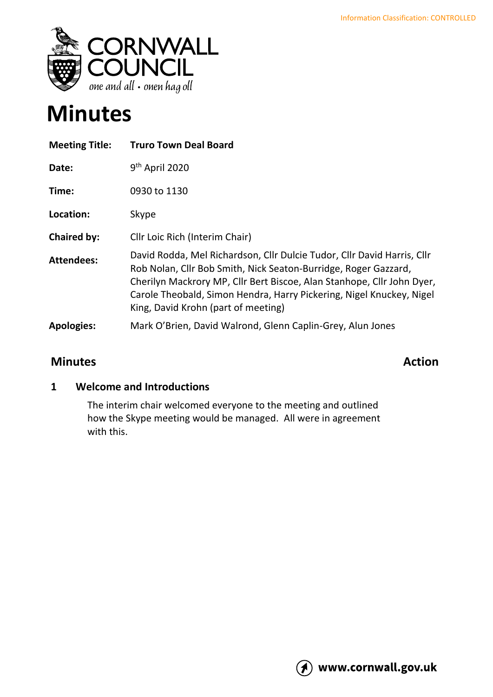

# **Minutes**

| <b>Meeting Title:</b> | <b>Truro Town Deal Board</b>                                                                                                                                                                                                                                                                                                        |
|-----------------------|-------------------------------------------------------------------------------------------------------------------------------------------------------------------------------------------------------------------------------------------------------------------------------------------------------------------------------------|
| Date:                 | 9 <sup>th</sup> April 2020                                                                                                                                                                                                                                                                                                          |
| Time:                 | 0930 to 1130                                                                                                                                                                                                                                                                                                                        |
| Location:             | Skype                                                                                                                                                                                                                                                                                                                               |
| <b>Chaired by:</b>    | Cllr Loic Rich (Interim Chair)                                                                                                                                                                                                                                                                                                      |
| <b>Attendees:</b>     | David Rodda, Mel Richardson, Cllr Dulcie Tudor, Cllr David Harris, Cllr<br>Rob Nolan, Cllr Bob Smith, Nick Seaton-Burridge, Roger Gazzard,<br>Cherilyn Mackrory MP, Cllr Bert Biscoe, Alan Stanhope, Cllr John Dyer,<br>Carole Theobald, Simon Hendra, Harry Pickering, Nigel Knuckey, Nigel<br>King, David Krohn (part of meeting) |
| <b>Apologies:</b>     | Mark O'Brien, David Walrond, Glenn Caplin-Grey, Alun Jones                                                                                                                                                                                                                                                                          |
|                       |                                                                                                                                                                                                                                                                                                                                     |

# **Minutes Action**

### **1 Welcome and Introductions**

The interim chair welcomed everyone to the meeting and outlined how the Skype meeting would be managed. All were in agreement with this.

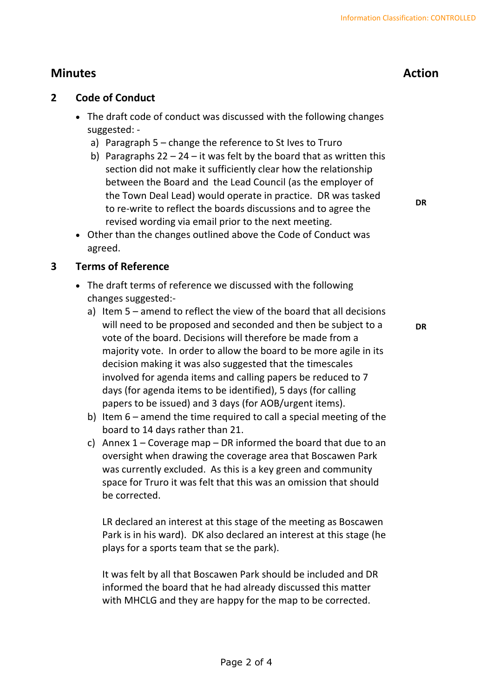# **Minutes Action**

#### **2 Code of Conduct**

- The draft code of conduct was discussed with the following changes suggested:
	- a) Paragraph 5 change the reference to St Ives to Truro
	- b) Paragraphs  $22 24 it$  was felt by the board that as written this section did not make it sufficiently clear how the relationship between the Board and the Lead Council (as the employer of the Town Deal Lead) would operate in practice. DR was tasked to re-write to reflect the boards discussions and to agree the revised wording via email prior to the next meeting.

**DR**

**DR**

• Other than the changes outlined above the Code of Conduct was agreed.

#### **3 Terms of Reference**

- The draft terms of reference we discussed with the following changes suggested:
	- a) Item 5 amend to reflect the view of the board that all decisions will need to be proposed and seconded and then be subject to a vote of the board. Decisions will therefore be made from a majority vote. In order to allow the board to be more agile in its decision making it was also suggested that the timescales involved for agenda items and calling papers be reduced to 7 days (for agenda items to be identified), 5 days (for calling papers to be issued) and 3 days (for AOB/urgent items).
	- b) Item 6 amend the time required to call a special meeting of the board to 14 days rather than 21.
	- c) Annex  $1 -$  Coverage map  $-$  DR informed the board that due to an oversight when drawing the coverage area that Boscawen Park was currently excluded. As this is a key green and community space for Truro it was felt that this was an omission that should be corrected.

LR declared an interest at this stage of the meeting as Boscawen Park is in his ward). DK also declared an interest at this stage (he plays for a sports team that se the park).

It was felt by all that Boscawen Park should be included and DR informed the board that he had already discussed this matter with MHCLG and they are happy for the map to be corrected.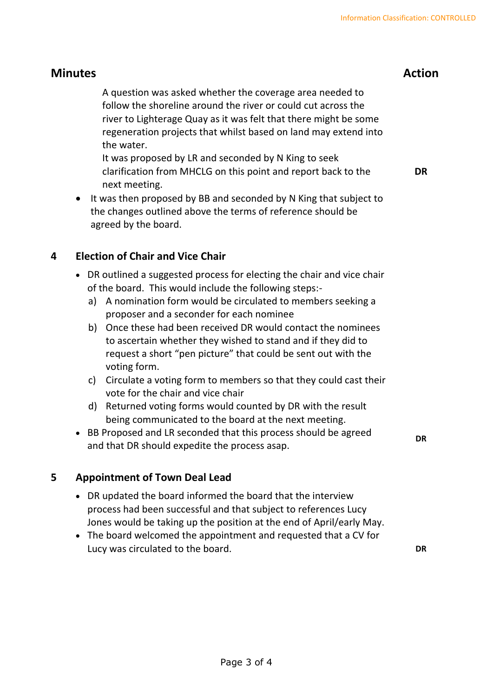## **Minutes Action**

A question was asked whether the coverage area needed to follow the shoreline around the river or could cut across the river to Lighterage Quay as it was felt that there might be some regeneration projects that whilst based on land may extend into the water.

It was proposed by LR and seconded by N King to seek clarification from MHCLG on this point and report back to the next meeting. **DR**

• It was then proposed by BB and seconded by N King that subject to the changes outlined above the terms of reference should be agreed by the board.

### **4 Election of Chair and Vice Chair**

- DR outlined a suggested process for electing the chair and vice chair of the board. This would include the following steps:
	- a) A nomination form would be circulated to members seeking a proposer and a seconder for each nominee
	- b) Once these had been received DR would contact the nominees to ascertain whether they wished to stand and if they did to request a short "pen picture" that could be sent out with the voting form.
	- c) Circulate a voting form to members so that they could cast their vote for the chair and vice chair
	- d) Returned voting forms would counted by DR with the result being communicated to the board at the next meeting.
- BB Proposed and LR seconded that this process should be agreed and that DR should expedite the process asap.

#### **DR**

#### **5 Appointment of Town Deal Lead**

- DR updated the board informed the board that the interview process had been successful and that subject to references Lucy Jones would be taking up the position at the end of April/early May.
- The board welcomed the appointment and requested that a CV for Lucy was circulated to the board. **DR**